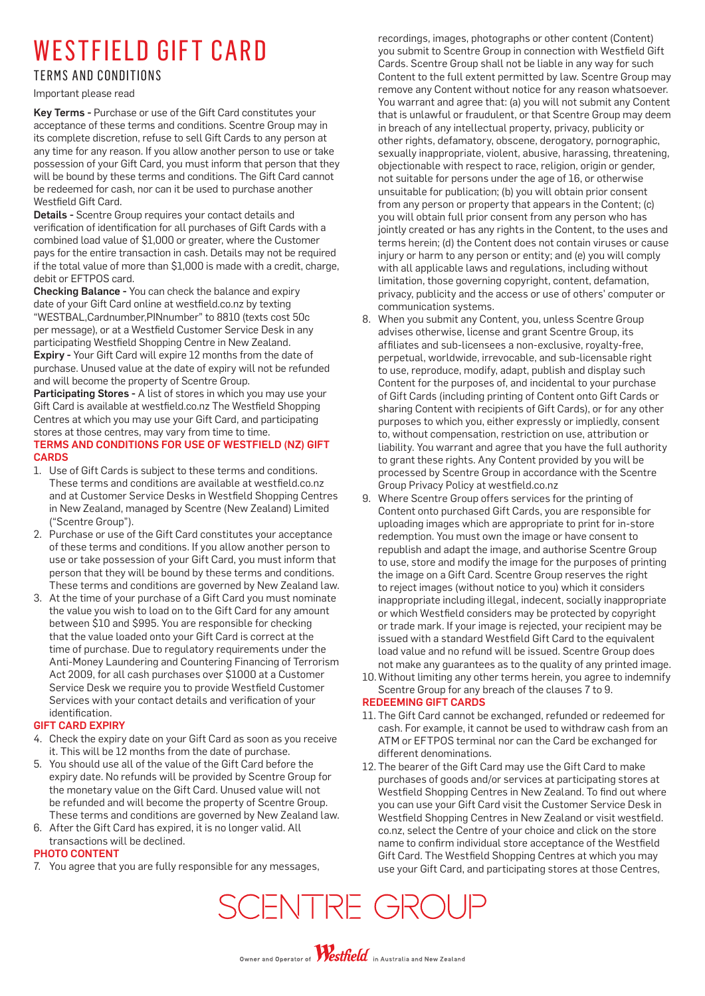## WESTFIELD GIFT CARD

### **TERMS AND CONDITIONS**

Important please read

Key Terms - Purchase or use of the Gift Card constitutes your acceptance of these terms and conditions. Scentre Group may in its complete discretion, refuse to sell Gift Cards to any person at any time for any reason. If you allow another person to use or take possession of your Gift Card, you must inform that person that they will be bound by these terms and conditions. The Gift Card cannot be redeemed for cash, nor can it be used to purchase another Westfield Gift Card.

Details - Scentre Group requires your contact details and verification of identification for all purchases of Gift Cards with a combined load value of \$1,000 or greater, where the Customer pays for the entire transaction in cash. Details may not be required if the total value of more than \$1,000 is made with a credit, charge, debit or EFTPOS card.

Checking Balance - You can check the balance and expiry date of your Gift Card online at westfield.co.nz by texting "WESTBAL,Cardnumber,PINnumber" to 8810 (texts cost 50c per message), or at a Westfield Customer Service Desk in any participating Westfield Shopping Centre in New Zealand. Expiry - Your Gift Card will expire 12 months from the date of purchase. Unused value at the date of expiry will not be refunded and will become the property of Scentre Group.

Participating Stores - A list of stores in which you may use your Gift Card is available at westfield.co.nz The Westfield Shopping Centres at which you may use your Gift Card, and participating stores at those centres, may vary from time to time.

#### TERMS AND CONDITIONS FOR USE OF WESTFIELD (NZ) GIFT **CARDS**

- 1. Use of Gift Cards is subject to these terms and conditions. These terms and conditions are available at westfield.co.nz and at Customer Service Desks in Westfield Shopping Centres in New Zealand, managed by Scentre (New Zealand) Limited ("Scentre Group").
- 2. Purchase or use of the Gift Card constitutes your acceptance of these terms and conditions. If you allow another person to use or take possession of your Gift Card, you must inform that person that they will be bound by these terms and conditions. These terms and conditions are governed by New Zealand law.
- 3. At the time of your purchase of a Gift Card you must nominate the value you wish to load on to the Gift Card for any amount between \$10 and \$995. You are responsible for checking that the value loaded onto your Gift Card is correct at the time of purchase. Due to regulatory requirements under the Anti-Money Laundering and Countering Financing of Terrorism Act 2009, for all cash purchases over \$1000 at a Customer Service Desk we require you to provide Westfield Customer Services with your contact details and verification of your identification.

#### GIFT CARD EXPIRY

- 4. Check the expiry date on your Gift Card as soon as you receive it. This will be 12 months from the date of purchase.
- 5. You should use all of the value of the Gift Card before the expiry date. No refunds will be provided by Scentre Group for the monetary value on the Gift Card. Unused value will not be refunded and will become the property of Scentre Group. These terms and conditions are governed by New Zealand law.
- 6. After the Gift Card has expired, it is no longer valid. All transactions will be declined.

#### PHOTO CONTENT

7. You agree that you are fully responsible for any messages,

recordings, images, photographs or other content (Content) you submit to Scentre Group in connection with Westfield Gift Cards. Scentre Group shall not be liable in any way for such Content to the full extent permitted by law. Scentre Group may remove any Content without notice for any reason whatsoever. You warrant and agree that: (a) you will not submit any Content that is unlawful or fraudulent, or that Scentre Group may deem in breach of any intellectual property, privacy, publicity or other rights, defamatory, obscene, derogatory, pornographic, sexually inappropriate, violent, abusive, harassing, threatening, objectionable with respect to race, religion, origin or gender, not suitable for persons under the age of 16, or otherwise unsuitable for publication; (b) you will obtain prior consent from any person or property that appears in the Content; (c) you will obtain full prior consent from any person who has jointly created or has any rights in the Content, to the uses and terms herein; (d) the Content does not contain viruses or cause injury or harm to any person or entity; and (e) you will comply with all applicable laws and regulations, including without limitation, those governing copyright, content, defamation, privacy, publicity and the access or use of others' computer or communication systems.

- 8. When you submit any Content, you, unless Scentre Group advises otherwise, license and grant Scentre Group, its affiliates and sub-licensees a non-exclusive, royalty-free, perpetual, worldwide, irrevocable, and sub-licensable right to use, reproduce, modify, adapt, publish and display such Content for the purposes of, and incidental to your purchase of Gift Cards (including printing of Content onto Gift Cards or sharing Content with recipients of Gift Cards), or for any other purposes to which you, either expressly or impliedly, consent to, without compensation, restriction on use, attribution or liability. You warrant and agree that you have the full authority to grant these rights. Any Content provided by you will be processed by Scentre Group in accordance with the Scentre Group Privacy Policy at westfield.co.nz
- 9. Where Scentre Group offers services for the printing of Content onto purchased Gift Cards, you are responsible for uploading images which are appropriate to print for in-store redemption. You must own the image or have consent to republish and adapt the image, and authorise Scentre Group to use, store and modify the image for the purposes of printing the image on a Gift Card. Scentre Group reserves the right to reject images (without notice to you) which it considers inappropriate including illegal, indecent, socially inappropriate or which Westfield considers may be protected by copyright or trade mark. If your image is rejected, your recipient may be issued with a standard Westfield Gift Card to the equivalent load value and no refund will be issued. Scentre Group does not make any guarantees as to the quality of any printed image.
- 10. Without limiting any other terms herein, you agree to indemnify Scentre Group for any breach of the clauses 7 to 9.

#### REDEEMING GIFT CARDS

- 11. The Gift Card cannot be exchanged, refunded or redeemed for cash. For example, it cannot be used to withdraw cash from an ATM or EFTPOS terminal nor can the Card be exchanged for different denominations.
- 12. The bearer of the Gift Card may use the Gift Card to make purchases of goods and/or services at participating stores at Westfield Shopping Centres in New Zealand. To find out where you can use your Gift Card visit the Customer Service Desk in Westfield Shopping Centres in New Zealand or visit westfield. co.nz, select the Centre of your choice and click on the store name to confirm individual store acceptance of the Westfield Gift Card. The Westfield Shopping Centres at which you may use your Gift Card, and participating stores at those Centres,

SCENTRE GROUF

Owner and Operator of **Westfield** in Australia and New Zealand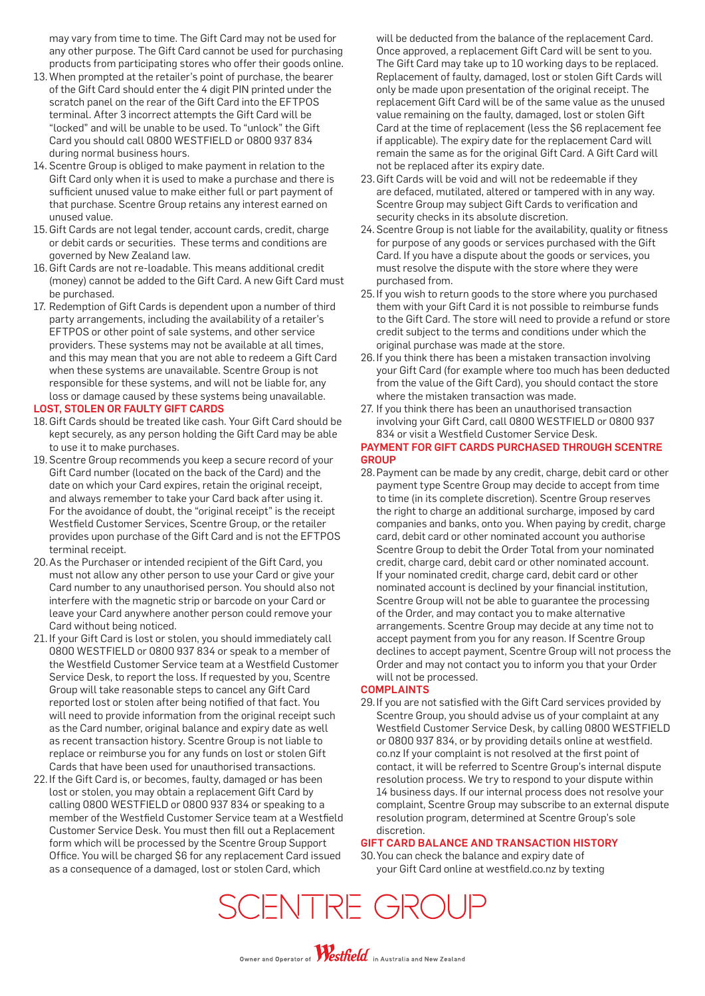may vary from time to time. The Gift Card may not be used for any other purpose. The Gift Card cannot be used for purchasing products from participating stores who offer their goods online.

- 13. When prompted at the retailer's point of purchase, the bearer of the Gift Card should enter the 4 digit PIN printed under the scratch panel on the rear of the Gift Card into the EFTPOS terminal. After 3 incorrect attempts the Gift Card will be "locked" and will be unable to be used. To "unlock" the Gift Card you should call 0800 WESTFIELD or 0800 937 834 during normal business hours.
- 14. Scentre Group is obliged to make payment in relation to the Gift Card only when it is used to make a purchase and there is sufficient unused value to make either full or part payment of that purchase. Scentre Group retains any interest earned on unused value.
- 15. Gift Cards are not legal tender, account cards, credit, charge or debit cards or securities. These terms and conditions are governed by New Zealand law.
- 16. Gift Cards are not re-loadable. This means additional credit (money) cannot be added to the Gift Card. A new Gift Card must be purchased.
- 17. Redemption of Gift Cards is dependent upon a number of third party arrangements, including the availability of a retailer's EFTPOS or other point of sale systems, and other service providers. These systems may not be available at all times, and this may mean that you are not able to redeem a Gift Card when these systems are unavailable. Scentre Group is not responsible for these systems, and will not be liable for, any loss or damage caused by these systems being unavailable.

#### LOST, STOLEN OR FAULTY GIFT CARDS

- 18. Gift Cards should be treated like cash. Your Gift Card should be kept securely, as any person holding the Gift Card may be able to use it to make purchases.
- 19. Scentre Group recommends you keep a secure record of your Gift Card number (located on the back of the Card) and the date on which your Card expires, retain the original receipt, and always remember to take your Card back after using it. For the avoidance of doubt, the "original receipt" is the receipt Westfield Customer Services, Scentre Group, or the retailer provides upon purchase of the Gift Card and is not the EFTPOS terminal receipt.
- 20. As the Purchaser or intended recipient of the Gift Card, you must not allow any other person to use your Card or give your Card number to any unauthorised person. You should also not interfere with the magnetic strip or barcode on your Card or leave your Card anywhere another person could remove your Card without being noticed.
- 21. If your Gift Card is lost or stolen, you should immediately call 0800 WESTFIELD or 0800 937 834 or speak to a member of the Westfield Customer Service team at a Westfield Customer Service Desk, to report the loss. If requested by you, Scentre Group will take reasonable steps to cancel any Gift Card reported lost or stolen after being notified of that fact. You will need to provide information from the original receipt such as the Card number, original balance and expiry date as well as recent transaction history. Scentre Group is not liable to replace or reimburse you for any funds on lost or stolen Gift Cards that have been used for unauthorised transactions.
- 22. If the Gift Card is, or becomes, faulty, damaged or has been lost or stolen, you may obtain a replacement Gift Card by calling 0800 WESTFIELD or 0800 937 834 or speaking to a member of the Westfield Customer Service team at a Westfield Customer Service Desk. You must then fill out a Replacement form which will be processed by the Scentre Group Support Office. You will be charged \$6 for any replacement Card issued as a consequence of a damaged, lost or stolen Card, which

will be deducted from the balance of the replacement Card. Once approved, a replacement Gift Card will be sent to you. The Gift Card may take up to 10 working days to be replaced. Replacement of faulty, damaged, lost or stolen Gift Cards will only be made upon presentation of the original receipt. The replacement Gift Card will be of the same value as the unused value remaining on the faulty, damaged, lost or stolen Gift Card at the time of replacement (less the \$6 replacement fee if applicable). The expiry date for the replacement Card will remain the same as for the original Gift Card. A Gift Card will not be replaced after its expiry date.

- 23. Gift Cards will be void and will not be redeemable if they are defaced, mutilated, altered or tampered with in any way. Scentre Group may subject Gift Cards to verification and security checks in its absolute discretion.
- 24. Scentre Group is not liable for the availability, quality or fitness for purpose of any goods or services purchased with the Gift Card. If you have a dispute about the goods or services, you must resolve the dispute with the store where they were purchased from.
- 25. If you wish to return goods to the store where you purchased them with your Gift Card it is not possible to reimburse funds to the Gift Card. The store will need to provide a refund or store credit subject to the terms and conditions under which the original purchase was made at the store.
- 26. If you think there has been a mistaken transaction involving your Gift Card (for example where too much has been deducted from the value of the Gift Card), you should contact the store where the mistaken transaction was made.
- 27. If you think there has been an unauthorised transaction involving your Gift Card, call 0800 WESTFIELD or 0800 937 834 or visit a Westfield Customer Service Desk.

#### PAYMENT FOR GIFT CARDS PURCHASED THROUGH SCENTRE **GROUP**

28. Payment can be made by any credit, charge, debit card or other payment type Scentre Group may decide to accept from time to time (in its complete discretion). Scentre Group reserves the right to charge an additional surcharge, imposed by card companies and banks, onto you. When paying by credit, charge card, debit card or other nominated account you authorise Scentre Group to debit the Order Total from your nominated credit, charge card, debit card or other nominated account. If your nominated credit, charge card, debit card or other nominated account is declined by your financial institution, Scentre Group will not be able to guarantee the processing of the Order, and may contact you to make alternative arrangements. Scentre Group may decide at any time not to accept payment from you for any reason. If Scentre Group declines to accept payment, Scentre Group will not process the Order and may not contact you to inform you that your Order will not be processed.

#### **COMPLAINTS**

29. If you are not satisfied with the Gift Card services provided by Scentre Group, you should advise us of your complaint at any Westfield Customer Service Desk, by calling 0800 WESTFIELD or 0800 937 834, or by providing details online at westfield. co.nz If your complaint is not resolved at the first point of contact, it will be referred to Scentre Group's internal dispute resolution process. We try to respond to your dispute within 14 business days. If our internal process does not resolve your complaint, Scentre Group may subscribe to an external dispute resolution program, determined at Scentre Group's sole discretion.

#### GIFT CARD BALANCE AND TRANSACTION HISTORY

30. You can check the balance and expiry date of your Gift Card online at westfield.co.nz by texting

SCENTRE GROUF

Owner and Operator of **Westfield** in Australia and New Zealand